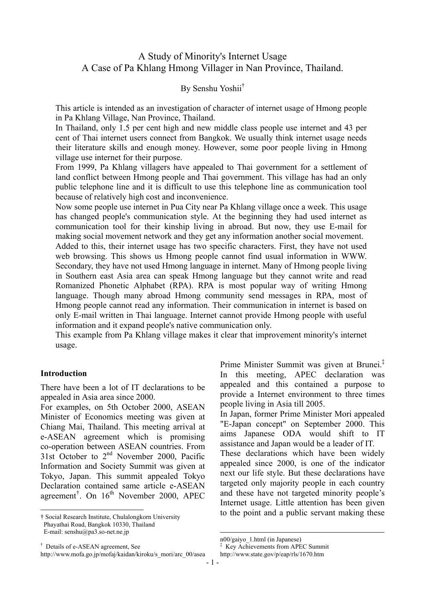# A Study of Minority's Internet Usage A Case of Pa Khlang Hmong Villager in Nan Province, Thailand.

#### By Senshu Yoshii†

This article is intended as an investigation of character of internet usage of Hmong people in Pa Khlang Village, Nan Province, Thailand.

In Thailand, only 1.5 per cent high and new middle class people use internet and 43 per cent of Thai internet users connect from Bangkok. We usually think internet usage needs their literature skills and enough money. However, some poor people living in Hmong village use internet for their purpose.

From 1999, Pa Khlang villagers have appealed to Thai government for a settlement of land conflict between Hmong people and Thai government. This village has had an only public telephone line and it is difficult to use this telephone line as communication tool because of relatively high cost and inconvenience.

Now some people use internet in Pua City near Pa Khlang village once a week. This usage has changed people's communication style. At the beginning they had used internet as communication tool for their kinship living in abroad. But now, they use E-mail for making social movement network and they get any information another social movement. Added to this, their internet usage has two specific characters. First, they have not used

web browsing. This shows us Hmong people cannot find usual information in WWW. Secondary, they have not used Hmong language in internet. Many of Hmong people living in Southern east Asia area can speak Hmong language but they cannot write and read Romanized Phonetic Alphabet (RPA). RPA is most popular way of writing Hmong language. Though many abroad Hmong community send messages in RPA, most of Hmong people cannot read any information. Their communication in internet is based on only E-mail written in Thai language. Internet cannot provide Hmong people with useful information and it expand people's native communication only.

This example from Pa Khlang village makes it clear that improvement minority's internet usage.

#### **Introduction**

 $\overline{a}$ 

There have been a lot of IT declarations to be appealed in Asia area since 2000.

For examples, on 5th October 2000, ASEAN Minister of Economics meeting was given at Chiang Mai, Thailand. This meeting arrival at e-ASEAN agreement which is promising co-operation between ASEAN countries. From 31st October to 2nd November 2000, Pacific Information and Society Summit was given at Tokyo, Japan. This summit appealed Tokyo Declaration contained same article e-ASEAN agreement<sup>[†](#page-0-0)</sup>. On 16<sup>th</sup> November 2000, APEC

Prime Minister Summit was given at Brunei[.‡](#page-0-1) In this meeting, APEC declaration was appealed and this contained a purpose to provide a Internet environment to three times people living in Asia till 2005.

In Japan, former Prime Minister Mori appealed "E-Japan concept" on September 2000. This aims Japanese ODA would shift to IT assistance and Japan would be a leader of IT.

These declarations which have been widely appealed since 2000, is one of the indicator next our life style. But these declarations have targeted only majority people in each country and these have not targeted minority people's Internet usage. Little attention has been given to the point and a public servant making these

 $\overline{a}$ 

<span id="page-0-0"></span><sup>†</sup> Social Research Institute, Chulalongkorn University Phayathai Road, Bangkok 10330, Thailand E-mail: senshu@pa3.so-net.ne.jp

<sup>†</sup> Details of e-ASEAN agreement, See

http://www.mofa.go.jp/mofaj/kaidan/kiroku/s\_mori/arc\_00/asea

n00/gaiyo\_1.html (in Japanese)

<span id="page-0-1"></span><sup>‡</sup> Key Achievements from APEC Summit http://www.state.gov/p/eap/rls/1670.htm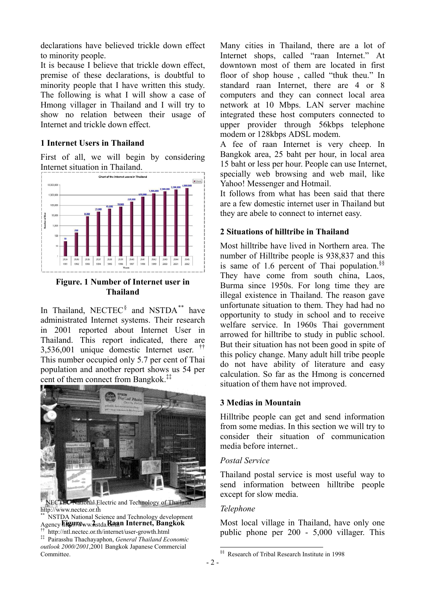declarations have believed trickle down effect to minority people.

It is because I believe that trickle down effect, premise of these declarations, is doubtful to minority people that I have written this study. The following is what I will show a case of Hmong villager in Thailand and I will try to show no relation between their usage of Internet and trickle down effect.

### **1 Internet Users in Thailand**

First of all, we will begin by considering Internet situation in Thailand.



**Figure. 1 Number of Internet user in Thailand** 

In Thailand, NECTEC<sup>[§](#page-1-0)</sup> and NSTDA<sup>\*\*</sup> have administrated Internet systems. Their research in 2001 reported about Internet User in Thailand. This report indicated, there are 3,536,001 unique domestic Internet user. [††](#page-1-2) This number occupied only 5.7 per cent of Thai population and another report shows us 54 per cent of them connect from Bangkok.[‡‡](#page-1-3)



NECTEC National Electric and Technology of Thailand http://www.nectec.or.th \*\*<br>\*\* NSTDA National Science and Technology development

<span id="page-1-3"></span><span id="page-1-2"></span><span id="page-1-1"></span><span id="page-1-0"></span>Agency **Figure** ww Astda. Baan Internet, Bangkok †† http://ntl.nectec.or.th/internet/user-growth.html ‡‡ Pairasshu Thachayaphon, *General Thailand Economic outlook 2000/2001*,2001 Bangkok Japanese Commercial Committee.

Many cities in Thailand, there are a lot of Internet shops, called "raan Internet." At downtown most of them are located in first floor of shop house , called "thuk theu." In standard raan Internet, there are 4 or 8 computers and they can connect local area network at 10 Mbps. LAN server machine integrated these host computers connected to upper provider through 56kbps telephone modem or 128kbps ADSL modem.

A fee of raan Internet is very cheep. In Bangkok area, 25 baht per hour, in local area 15 baht or less per hour. People can use Internet, specially web browsing and web mail, like Yahoo! Messenger and Hotmail.

It follows from what has been said that there are a few domestic internet user in Thailand but they are abele to connect to internet easy.

## **2 Situations of hilltribe in Thailand**

Most hilltribe have lived in Northern area. The number of Hilltribe people is 938,837 and this is same of 1.6 percent of Thai population.[§§](#page-1-4) They have come from south china, Laos, Burma since 1950s. For long time they are illegal existence in Thailand. The reason gave unfortunate situation to them. They had had no opportunity to study in school and to receive welfare service. In 1960s Thai government arrowed for hilltribe to study in public school. But their situation has not been good in spite of this policy change. Many adult hill tribe people do not have ability of literature and easy calculation. So far as the Hmong is concerned situation of them have not improved.

#### **3 Medias in Mountain**

Hilltribe people can get and send information from some medias. In this section we will try to consider their situation of communication media before internet..

#### *Postal Service*

Thailand postal service is most useful way to send information between hilltribe people except for slow media.

#### *Telephone*

Most local village in Thailand, have only one public phone per 200 - 5,000 villager. This

<span id="page-1-4"></span> $\overline{a}$ 

<sup>§§</sup> Research of Tribal Research Institute in 1998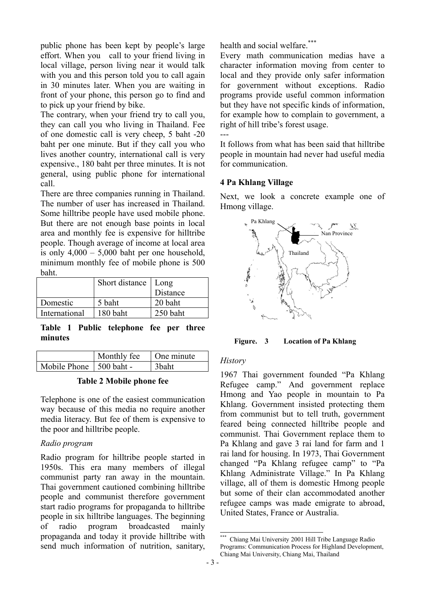public phone has been kept by people's large effort. When you call to your friend living in local village, person living near it would talk with you and this person told you to call again in 30 minutes later. When you are waiting in front of your phone, this person go to find and to pick up your friend by bike.

The contrary, when your friend try to call you, they can call you who living in Thailand. Fee of one domestic call is very cheep, 5 baht -20 baht per one minute. But if they call you who lives another country, international call is very expensive., 180 baht per three minutes. It is not general, using public phone for international call.

There are three companies running in Thailand. The number of user has increased in Thailand. Some hilltribe people have used mobile phone. But there are not enough base points in local area and monthly fee is expensive for hilltribe people. Though average of income at local area is only  $4,000 - 5,000$  baht per one household, minimum monthly fee of mobile phone is 500 baht.

|               | Short distance   Long |          |
|---------------|-----------------------|----------|
|               |                       | Distance |
| Domestic      | 5 baht                | 20 baht  |
| International | 180 baht              | 250 baht |

**Table 1 Public telephone fee per three minutes** 

|                           | Monthly fee | One minute        |
|---------------------------|-------------|-------------------|
| Mobile Phone   500 baht - |             | 3 <sub>baht</sub> |

#### **Table 2 Mobile phone fee**

Telephone is one of the easiest communication way because of this media no require another media literacy. But fee of them is expensive to the poor and hilltribe people.

#### *Radio program*

Radio program for hilltribe people started in 1950s. This era many members of illegal communist party ran away in the mountain. Thai government cautioned combining hilltribe people and communist therefore government start radio programs for propaganda to hilltribe people in six hilltribe languages. The beginning of radio program broadcasted mainly propaganda and today it provide hilltribe with send much information of nutrition, sanitary,

health and social welfare<sup>[\\*\\*\\*](#page-2-0)</sup>

Every math communication medias have a character information moving from center to local and they provide only safer information for government without exceptions. Radio programs provide useful common information but they have not specific kinds of information, for example how to complain to government, a right of hill tribe's forest usage.

 $-$ 

It follows from what has been said that hilltribe people in mountain had never had useful media for communication.

#### **4 Pa Khlang Village**

Next, we look a concrete example one of Hmong village.



**Figure. 3 Location of Pa Khlang** 

#### *History*

1967 Thai government founded "Pa Khlang Refugee camp." And government replace Hmong and Yao people in mountain to Pa Khlang. Government insisted protecting them from communist but to tell truth, government feared being connected hilltribe people and communist. Thai Government replace them to Pa Khlang and gave 3 rai land for farm and 1 rai land for housing. In 1973, Thai Government changed "Pa Khlang refugee camp" to "Pa Khlang Administrate Village." In Pa Khlang village, all of them is domestic Hmong people but some of their clan accommodated another refugee camps was made emigrate to abroad, United States, France or Australia.

<span id="page-2-0"></span> $\overline{a}$ \*\*\* Chiang Mai University 2001 Hill Tribe Language Radio Programs: Communication Process for Highland Development, Chiang Mai University, Chiang Mai, Thailand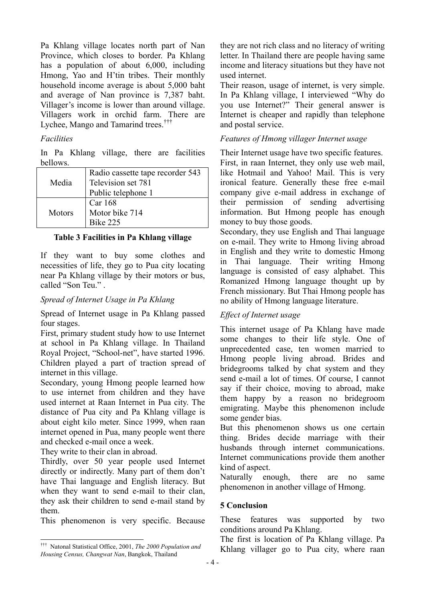Pa Khlang village locates north part of Nan Province, which closes to border. Pa Khlang has a population of about 6,000, including Hmong, Yao and H'tin tribes. Their monthly household income average is about 5,000 baht and average of Nan province is 7,387 baht. Villager's income is lower than around village. Villagers work in orchid farm. There are Lychee, Mango and Tamarind trees.<sup>[†††](#page-3-0)</sup>

### *Facilities*

In Pa Khlang village, there are facilities bellows.

| Media  | Radio cassette tape recorder 543<br>Television set 781<br>Public telephone 1 |
|--------|------------------------------------------------------------------------------|
| Motors | Car 168<br>Motor bike 714<br><b>Bike 225</b>                                 |

#### **Table 3 Facilities in Pa Khlang village**

If they want to buy some clothes and necessities of life, they go to Pua city locating near Pa Khlang village by their motors or bus, called "Son Teu." .

### *Spread of Internet Usage in Pa Khlang*

Spread of Internet usage in Pa Khlang passed four stages.

First, primary student study how to use Internet at school in Pa Khlang village. In Thailand Royal Project, "School-net", have started 1996. Children played a part of traction spread of internet in this village.

Secondary, young Hmong people learned how to use internet from children and they have used internet at Raan Internet in Pua city. The distance of Pua city and Pa Khlang village is about eight kilo meter. Since 1999, when raan internet opened in Pua, many people went there and checked e-mail once a week.

They write to their clan in abroad.

Thirdly, over 50 year people used Internet directly or indirectly. Many part of them don't have Thai language and English literacy. But when they want to send e-mail to their clan, they ask their children to send e-mail stand by them.

This phenomenon is very specific. Because

they are not rich class and no literacy of writing letter. In Thailand there are people having same income and literacy situations but they have not used internet.

Their reason, usage of internet, is very simple. In Pa Khlang village, I interviewed "Why do you use Internet?" Their general answer is Internet is cheaper and rapidly than telephone and postal service.

## *Features of Hmong villager Internet usage*

Their Internet usage have two specific features. First, in raan Internet, they only use web mail, like Hotmail and Yahoo! Mail. This is very ironical feature. Generally these free e-mail company give e-mail address in exchange of their permission of sending advertising information. But Hmong people has enough money to buy those goods.

Secondary, they use English and Thai language on e-mail. They write to Hmong living abroad in English and they write to domestic Hmong in Thai language. Their writing Hmong language is consisted of easy alphabet. This Romanized Hmong language thought up by French missionary. But Thai Hmong people has no ability of Hmong language literature.

#### *Effect of Internet usage*

This internet usage of Pa Khlang have made some changes to their life style. One of unprecedented case, ten women married to Hmong people living abroad. Brides and bridegrooms talked by chat system and they send e-mail a lot of times. Of course, I cannot say if their choice, moving to abroad, make them happy by a reason no bridegroom emigrating. Maybe this phenomenon include some gender bias.

But this phenomenon shows us one certain thing. Brides decide marriage with their husbands through internet communications. Internet communications provide them another kind of aspect.

Naturally enough, there are no same phenomenon in another village of Hmong.

# **5 Conclusion**

These features was supported by two conditions around Pa Khlang.

The first is location of Pa Khlang village. Pa Khlang villager go to Pua city, where raan

<span id="page-3-0"></span> $\overline{a}$ ††† Natonal Statistical Office, 2001, *The 2000 Population and Housing Census, Changwat Nan*, Bangkok, Thailand